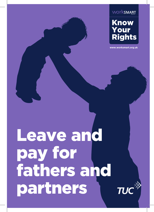worksmart



**www.worksmart.org.uk**

# Leave and pay for fathers and partners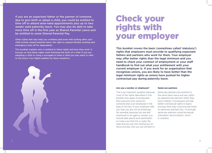If you are an expectant father or the partner of someone due to give birth or adopt a child, you could be entitled to time off to attend ante-natal appointments plus up to two weeks' paid paternity leave. You may also be able to take more time off in the first year as Shared Parental Leave and be entitled to some Shared Parental Pay.

Other rights that may help you combine paid work with looking after your child include unpaid parental leave, the right to request flexible working and emergency time off for dependants.

This booklet explains who is entitled to these rights and how they work. It focuses on how these rights work following the birth of a child. If you are adopting a child or using a surrogate to have a child you may want to refer to the Know Your Rights leaflets for these situations.



### Check your rights with your employer

This booklet covers the basic (sometimes called 'statutory') rights that employers must provide to qualifying expectant fathers and partners who work for them. Your employer may offer better rights than the legal minimum and you need to check your contract of employment or your staff handbook to find out what your entitlement with your current employer is. If you work for an organisation that recognises unions, you are likely to have better than the legal minimum rights as unions have pushed for higher contractual pay during paternity leave.

#### **Are you a worker or employee?**

This is an important question because most of the rights described in this booklet only apply to employees. Not everyone who works for someone else is an employee in the eyes of the law. If your employer tells you that you are not an employee, for example, because you are selfemployed or an agency worker, you should seek advice and clarification to make sure that this is really the case and you are not missing out on leave and pay that you are entitled to.

#### **Same-sex partners**

Same-sex partners are entitled to the same basic leave and pay rights as opposite-sex partners when they have children. If employers provide better contractual rights to leave and pay then they must provide these to same-sex partners too. To exclude same-sex partners would be sexual orientation discrimination, which is unlawful.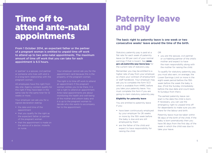### Time off to attend ante-natal appointments

From 1 October 2014, an expectant father or the partner of a pregnant woman is entitled to unpaid time off work to attend up to two ante-natal appointments. The maximum amount of time off work that you can take for each appointment is 6.5 hours.

A 'partner' is a spouse, civil partner or someone who lives with and is in a long-term relationship with the pregnant woman.

All employees have this right from day one. Agency workers qualify for this right if they have been in the same role for the same hirer for 12 weeks or more.

Your employer can ask you for a signed declaration stating:

- the date and time of the appointment
- that you qualify for the right as the expectant father or partner of the pregnant woman
- that the appointment is made on the advice of a doctor, midwife or nurse.

Your employer cannot ask you for the appointment card because this is the property of the pregnant woman.

The right is to time off work to attend an appointment if the pregnant woman wishes you to be there. It is not a right to attend an appointment. Ante-natal appointments are about monitoring the health and well-being of the mother and unborn baby and it is up to the pregnant woman to decide who she wants to accompany her to the appointment.

### Paternity leave and pay

The basic right to paternity leave is one week or two consecutive weeks' leave around the time of the birth.

Statutory paternity pay is paid at a flat rate for each week of paternity leave (or 90 per cent of your normal earnings if that is lower). See **www. gov.uk/paternity-pay-leave/pay** for the current rate of statutory pay.

Remember you may be entitled to a higher rate of pay from your employer, so check your contract of employment or staff handbook. Your employer may ask you to complete the form SC3 which is available from HMRC before you take your paternity leave. You must complete this form if you are going to claim statutory paternity pay.

#### **Eligibility for paternity leave**

You are entitled to paternity leave if you:

- have been continuously employed by your employer for 26 weeks or more by the 15th week before the baby is due and are still employed by them
- are the father of the child and expect to have responsibility for raising the child

#### OR

• you are the spouse, civil partner or co-habiting partner of the child's mother and expect to have the main responsibility along with the mother for raising the child.

To qualify for statutory paternity pay, you must also earn, on average, the Lower Earnings Limit or more in the eight-week period before the 15th week before the week the baby is due. (Find the Sunday immediately before the due date and count back 15 Sundays from then).

The earliest paternity leave can start is the date the child is born. If necessary, you can use the emergency right to unpaid time off for dependants to make sure you are there for the labour and birth.

Paternity leave must be taken within 56 days of the birth of the child. If the baby is born prematurely then you have 56 days from the first day of the week in which the child was due to take your leave.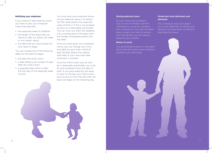#### **Notifying your employer**

If you intend to take paternity leave you have to give your employer notice that specifies:

- the expected week of childbirth
- the length of the leave that you intend to take (i.e. either one week or two weeks' leave)
- the date that you have chosen for your leave to begin.

You can choose one of the following dates for the leave to begin:

- the date the child is born
- a date falling a set number of days after the child is born
- a specified date which is after the first day of the expected week of birth.

You must give your employer notice of your paternity leave in or before the 15th week before the expected week of birth or if this is not possible as soon as is reasonably practicable. You can work out when this deadline is by counting back 15 Sundays from the Sunday immediately before the due date.

Once you have given your employer notice, you can change your mind provided you give them notice at least 28 days before the original start date or your new start date, whichever is soonest.

Once the child is born and, as soon as is reasonably practicable, you must let your employer know the date of birth. If you have asked for the leave to start on the day your child is born and you are at work that day then the leave will begin on the following day.

#### **During paternity leave**

All your terms and conditions (e.g. accrual of holidays, pension contributions, access to company car) continue as if you had not taken leave, except your right to receive your normal pay (you will receive paternity pay instead).

#### **Return to work**

You are entitled to return to the same job on the same terms and conditions as before you went away.

#### **Protection from detriment and dismissal**

Your employer must not subject you to any detriment or dismiss you because you have taken or intend to take paternity leave.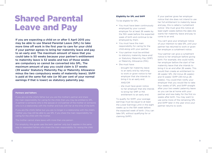## Shared Parental Leave and Pay

If you are expecting a child on or after 5 April 2015 you may be able to use Shared Parental Leave (SPL) to take more time off work in the first year to care for your child if your partner agrees to bring her maternity leave and pay to an early end. The maximum amount of leave that you could take is 50 weeks because your partner's entitlement to maternity leave is 52 weeks and two of those weeks are compulsory so cannot be converted into SPL. The maximum amount of pay you could claim is 37 weeks (39 weeks' Statutory Maternity Pay or Maternity Allowance minus the two compulsory weeks of maternity leave). ShPP is paid at the same flat rate (or 90 per cent of your normal earnings if that is lower) as statutory paternity pay.

#### **Partners and fathers**

If you are not the child's father but you are the mother's partner and share the main responsibility for caring for the child, then you may be entitled to SPL. A partner is someone who is the spouse or civil partner of the mother or someone

mother you may still be able to use SPL if you share the main responsibility for

For simplicity, this guide uses the term 'partner' only but it applies in the same way to separated fathers who share the main responsibility for raising the child.

#### **Eligibility for SPL and ShPP**

To be eligible for SPL:

- You must have been continuously employed by your current employer for at least 26 weeks by the 15th week before the expected week of birth and continue to be employed by them.
- You must have the main responsibility for caring for the child along with your partner.
- Your partner must be entitled to statutory maternity leave and/ or Statutory Maternity Pay (SMP) or Maternity Allowance (MA).
- She must have:
	- brought her maternity leave to an early end by returning to work or given notice to her employer that she intends to bring it to an early end; AND/OR
	- she must have given notice to her employer that she intends to bring her SMP or MA entitlement to an early end.

To qualify for ShPP, your average earnings must be equal to at least the Lower Earnings Limit in the eight weeks up to the 15th week before the expected week of birth. (You can take SPL without qualifying for or claiming ShPP).

If your partner gives her employer notice that she does not intend to use her full entitlement to maternity leave and pay, this is called a 'curtailment notice'. She must give this notice at least eight weeks before the date she wants her maternity leave and pay to come to an end.

You can't give your employer notice of your intention to take SPL until your partner has returned to work or given her employer a curtailment notice.

Your partner can give a curtailment notice to her employer before giving birth. For example, she could notify her employer before the start of her maternity leave that she intends to bring it to an end after 26 weeks. This would then create an entitlement to 26 weeks' SPL (52 minus 26 weeks) and 13 weeks' ShPP (39 minus 26 weeks). You could then notify your employer that you would like to take four weeks of SPL and ShPP straight after your two weeks' paternity leave so you can be at home with your partner and new baby for the first six weeks after birth. You may want to use some more of the remaining SPL and ShPP later in the year once your partner returns to work.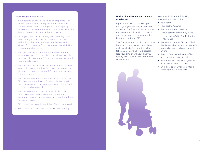#### **Some key points about SPL:**

- Your partner doesn't have to be an employee with an entitlement to maternity leave for you to qualify for SPL. She may be self-employed or an agency worker who has an entitlement to Statutory Maternity Pay or Maternity Allowance but not leave.
- Once your partner's maternity leave and pay have been brought to an end and converted into SPL and ShPP, it becomes a shared entitlement which either of you can use if you both meet the eligibility requirements for taking it.
- You can use SPL to be off work at the same time as your partner. You could both be off work on SPL or you could take some SPL while your partner is still on maternity leave.
- You can break up your SPL entitlement for example, you could take a month of SPL near the time of the birth and a second month of SPL once your partner returns to work.
- You can request a discontinuous pattern for taking SPL from your employer – for example, two weeks on, two weeks off – but your employer has the right to refuse such a request.
- You can take a maximum of three blocks of SPL unless your employer agrees to a discontinuous pattern of leave or agrees to accept more than three notices of leave.
- SPL cannot be taken in multiples of less than a week.
- SPL cannot be used after the child's first birthday.

#### **Notice of entitlement and intention to take SPL**

If you would like to use SPL, you must give your employer two kinds of notice. The first is a notice of your entitlement and intention to use SPL and the second is a 'booking notice' to book a period of SPL.

The first notice is not binding. It must be given to your employer at least eight weeks before you intend to take any SPL and ShPP. It basically lets your employer know that you qualify for SPL and ShPP and would like to use it.

You must include the following information in this notice:

- your name
- your partner's name
- the start and end dates of:
	- your partner's maternity leave
	- your partner's SMP or Maternity Allowance
- the total amount of SPL and ShPP that is available once your partner's maternity leave and pay comes to an end
- the child's expected week of birth and the actual date of birth
- how much SPL and ShPP you and your partner intend to take
- an indication of when you intend to take your SPL and ShPP.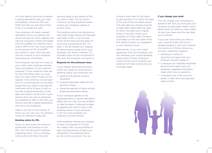You also need to give your employer a signed declaration that you meet the eligibility criteria for SPL and ShPP and that you will inform them if this is no longer the case.

Your employer will need a signed declaration from your partner too, which includes her name, address and national insurance number and states that she qualifies for maternity leave and/or SMP or MA. She must consent to the amount of SPL and ShPP you intend to claim. She must also give her consent to your employer processing her information.

Your employer can ask for a copy of your child's birth certificate and the name and address of your partner's employer. If your employer does ask for this information then you must give it to them within 14 days of the request. If the child has not yet been born or a certificate has not yet been issued then you need to provide the certificate within 14 days of birth or provide a signed declaration of the date and location of the birth. If your partner does not have an employer but qualifies for SMP or MA then you need to provide a signed declaration that she is not employed.

There is no limit on the number of times you can vary your non-binding notice of intention to take SPL.

#### **Booking notice for SPL**

Once you have given the notice of entitlement and intention to use SPL, you must give your employer a booking notice. This is a binding notice which tells them the start

and end dates of any period of SPL you plan to take. You can give a maximum of three booking notices (unless your employer agrees to accept more).

The booking notice must be given at least eight weeks before the intended start date of SPL. It can provide notice of the start and end dates of more than one period of SPL. If it does, it will be treated as a request for discontinuous leave which your employer can refuse. However, if it provides notice of just one period of SPL then the employer must grant it.

#### **Requests for discontinuous leave**

If you request discontinuous leave, within two weeks of receiving your booking notice, your employer can:

- agree to the periods of leave requested
- propose alternative dates for the periods of leave
- refuse the periods of leave without proposing alternative dates.

If your employer agrees to the requested leave or agrees alternative dates with you then you are entitled to take the leave. If alternative dates are agreed you need to give a new booking notice to your employer. It will not count towards your maximum of three notices.

If the employer refuses your request or does not respond to it within two weeks, then you are entitled to take the total amount of leave you requested in the booking notice as one continuous block. You can

choose a start date for this leave by giving notice of it within five days of the end of the two-week period. The start date you choose must be at least eight weeks after the date on which you gave your original notice. If you don't notify your employer of a start date, the leave must begin on the start date of the first period of leave you requested in your booking notice.

Alternatively, if you can't reach agreement with your employer, you can withdraw your original booking notice within 15 days of giving it. It will not then count towards your maximum of three notices and you can begin again.

#### **If you change your mind**

You can change your mind about a period of SPL but you must give your employer at least eight weeks' notice before both the date you were meant to start your leave and the new date you've chosen.

If you give notice that you want to vary a period of SPL that you've already booked, it will count towards the maximum of three notices you can give, unless the variation:

- withdraws a notice of discontinuous leave that your employer wouldn't agree to
- is because you originally requested discontinuous leave and your employer suggested alternative dates which you've agreed to
- is because your child was born earlier or later than the expected week of birth.

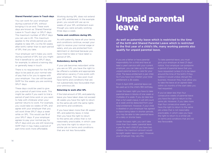#### **Shared Parental Leave In Touch days**

You can work for your employer during a period of SPL without bringing it to an end. These work days are known as 'Shared Parental Leave In Touch days' or SPLIT days. The maximum number of SPLIT days you can use is 20. This maximum applies to the whole period you are eligible to take SPL (i.e the 50 weeks after birth) rather than to each period of SPL that you take.

Your employer can't make you work during a period of SPL but you might find it beneficial to use SPLIT days, for example, to attend a training day or generally keep in touch.

There is no requirement for the SPLIT days to be paid at your normal rate of pay that is for you to agree with your employer. You can still be paid ShPP for the weeks you are working SPLIT days.

These days could be used to give you a period of part-time work. This might be useful if you want to trial a period of part-time work or you want to help with childcare when your partner returns to work. For example, you could take six weeks of SPL and agree with your employer that you will work three SPLIT days a week while on SPL. This would use 18 of your SPLIT days. If your employer agrees to pay your normal pay for SPLIT days and you are still receiving ShPP then it may make a period of part-time work more affordable.

Working during SPL does not extend your SPL entitlement. In the example given, you would still use up six weeks of your SPL entitlement even though you were actually working three days a week.

#### **Terms and conditions during SPL**

As with paternity leave all your terms and conditions continue, except your right to receive your normal wage or salary, and you are protected from detriment or dismissal because you have tried to take or have taken a period of SPL.

#### **Redundancy during SPL**

If your job becomes redundant while you are on SPL you have the right to be offered a suitable and appropriate alternative vacancy if one exists with your employer. This new post must have terms and conditions that are not substantially less favourable than your previous job.

#### **Returning to work after SPL**

If the total amount of SPL and paternity leave you have taken does not exceed 26 weeks you have the right to return to the same job with the same rights and terms and conditions.

If you have taken more than 26 weeks' SPL and paternity leave, in total, then you have the right to return to the same job unless that is not reasonably practicable, in which case you have the right to return to a similar job on terms and conditions that are not less favourable.

### Unpaid parental leave

As well as paternity leave which is restricted to the time of the birth and Shared Parental Leave which is restricted to the first year of a child's life, many working parents also qualify for unpaid parental leave.

If you are a father or have parental responsibility for a child and have at least a year's service with your current employer, you can take up to 18 weeks' unpaid parental leave to care for your child. The leave entitlement is per child. So if you have two children your total entitlement is 36 weeks.

From 5 April 2015, parental leave can be used up to the child's 18th birthday.

Under the basic right you have to take parental leave in blocks of one week or multiples of a week. If you do take less than a full week's leave, it will still count as a week and be deducted from your total entitlement. However, if your child is disabled or your employer has agreed to leave being taken in shorter periods, you may be able to take parental leave on a daily or shorter basis.

Under the basic right, you can't take more than four weeks' parental leave children the maximum amount would be eight weeks' leave a year). However, your employer may vary this.

To take parental leave, you must give your employer at least 21 days' notice. Your employer can postpone a period of parental leave that you have requested (unless it's to be taken around the time of the birth) if they believe it would unduly disrupt the business. However they must allow you to take the leave at an agreed date within six months of the start date you had requested.

If you've taken less than four consecutive weeks of parental leave you have the right to return to the same job. However, if you take more than four consecutive weeks, you have the right to return to the same job unless that is not reasonably practicable, in which case you have the right to return to a similar job on terms and conditions that are not less favourable.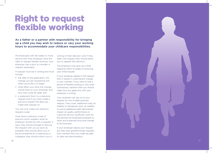## Right to request flexible working

As a father or a partner with responsibility for bringing up a child you may wish to reduce or vary your working hours to accommodate your childcare responsibilities.

All employees with 26 weeks or more service with their employer have the right to request flexible working. Your employer has a duty to consider a request reasonably.

A request must be in writing and must include:

- the date of the application, the change you are requesting and when you'd like it to begin
- what effect you think the change would have on your employer and how that could be dealt with
- a statement that it is a statutory request and if you have made a previous request the date you made that request on.

You can only make one statutory request a year.

Acas have a statutory code of practice which explains what an employer should do with a request. It says: they should arrange to discuss the request with you as soon as possible; they should allow you to be accompanied at a meeting by a colleague; they should inform you in

writing of their decision; and if they reject the request they should allow you to appeal that decision.

The employer must give you a final response within 12 weeks of receiving your initial request.

If your employer agrees to the request then it results in a permanent change in your contract. If you want to trial a period of flexible working or only want a temporary variation then you should make sure you agree this with your employer in writing.

Your employer can say no to your request for one of eight business reasons. They cover: additional costs; an inability to reorganise work; an inability to recruit additional staff; detrimental impact on quality, performance or customer service; insufficient work for the periods the employee proposes to work; and a planned structural change to the business.

If your employer rejects your request but they have granted similar requests from mothers then you might be able to claim sex discrimination.

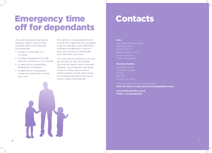## Emergency time off for dependants

As a working parent you have a statutory right to time off that could be used in the following circumstances:

- to help if a child falls ill or is injured
- to make arrangements to help care for a child who is ill or injured
- to deal with an unexpected breakdown in childcare
- to deal with an unexpected incident at school that involves your child.

The right is to a reasonable amount of time off to deal with the immediate crisis; for example, to put alternative childcare arrangements in place if your usual nursery or childminder can't look after your child.

You must tell your employer why you are off work as soon as possible. The time off doesn't have to be paid. However, your employer may agree to pay it or they may provide a certain amount of paid carer's leave or compassionate leave that can be used in these circumstances.

### Contacts

#### **Acas**

Acas National Euston Tower 286 Euston Road London NW1 3JJ Helpline: 08457 474747 www.acas.org.uk

#### **Working Families**

Cambridge House 1 Addington Square London SE5 0HF Tel: 020 7253 7243

Free legal helpline for low income families: **0300 012 0312 or email: advice@workingfamilies.org.uk**

**www.workingfamilies.org.uk Twitter: @workingfamUK**